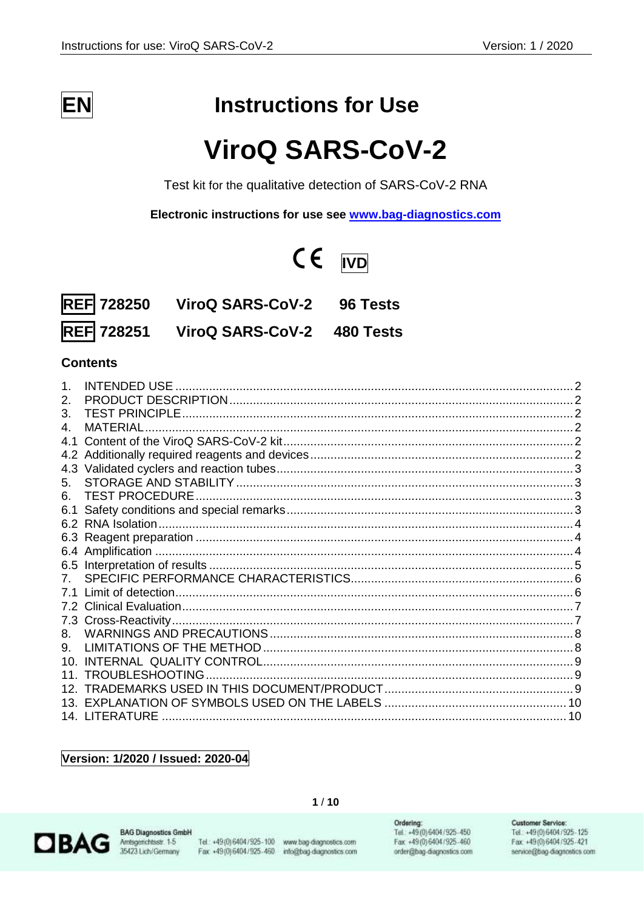

# **Instructions for Use**

# **ViroQ SARS-CoV-2**

Test kit for the qualitative detection of SARS-CoV-2 RNA

Electronic instructions for use see www.bag-diagnostics.com

# $CE$   $\overline{IVD}$

|                   | REF 728250 ViroQ SARS-CoV-2 | 96 Tests |
|-------------------|-----------------------------|----------|
| <b>REF 728251</b> | ViroQ SARS-CoV-2 480 Tests  |          |

## **Contents**

|             | INTENDED USE          |               |
|-------------|-----------------------|---------------|
| 2.          |                       | $\mathcal{P}$ |
| 3.          |                       |               |
| 4.          | MATERIAL              |               |
| 4.1         |                       |               |
|             |                       |               |
|             |                       |               |
| 5.          |                       |               |
| 6.          | <b>TEST PROCEDURE</b> |               |
| 6.1         |                       |               |
| 6.2         |                       |               |
| 6.3         |                       |               |
|             |                       |               |
|             |                       |               |
| $7^{\circ}$ |                       |               |
| 7.1         |                       |               |
|             |                       |               |
|             |                       |               |
| 8.          |                       |               |
| 9.          |                       |               |
| 10.         |                       |               |
| 11.         | TROUBLESHOOTING       |               |
|             |                       |               |
| 13.         |                       |               |
|             | 14. LITERATURE        |               |

Version: 1/2020 / Issued: 2020-04



**BAG Diagnostics GmbH** Amsgerichtsstr. 1-5<br>35423 Lich/Germany

Tel.: +49(0) 6404 / 925-100 www.bag-diagnostics.com Fax: +49(0)6404/925-460 info@bag-diagnostics.com

 $1/10$ 

Ordering: Tel: +49(0)6404/925-450 Fax: +49 (0) 6404 / 925 - 460 order@bag-diagnostics.com

#### **Customer Service:**

Tel: +49(0)6404/925-125 Fax: +49(0)6404/925-421 service@bag-diagnostics.com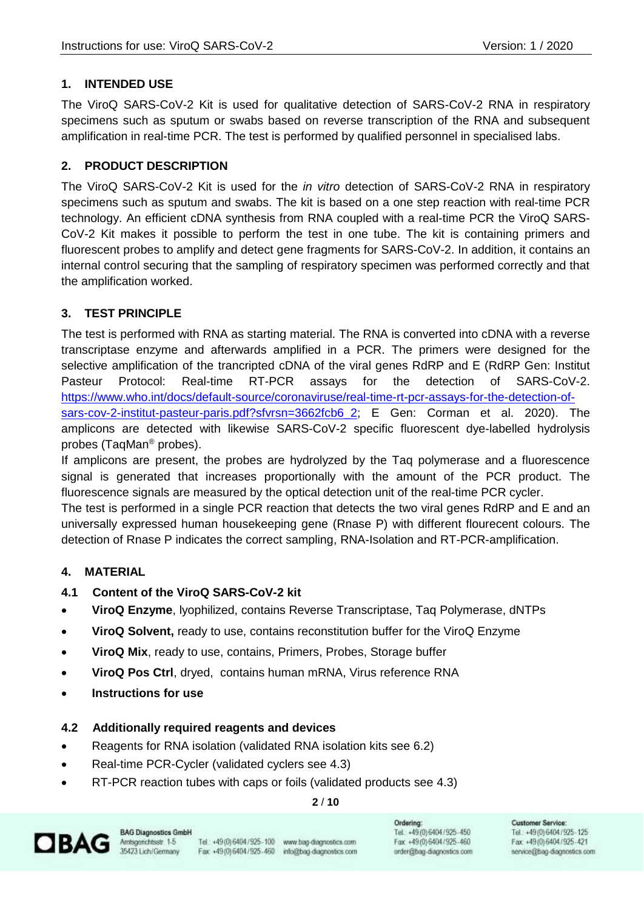### <span id="page-1-0"></span>**1. INTENDED USE**

The ViroQ SARS-CoV-2 Kit is used for qualitative detection of SARS-CoV-2 RNA in respiratory specimens such as sputum or swabs based on reverse transcription of the RNA and subsequent amplification in real-time PCR. The test is performed by qualified personnel in specialised labs.

#### <span id="page-1-1"></span>**2. PRODUCT DESCRIPTION**

The ViroQ SARS-CoV-2 Kit is used for the *in vitro* detection of SARS-CoV-2 RNA in respiratory specimens such as sputum and swabs. The kit is based on a one step reaction with real-time PCR technology. An efficient cDNA synthesis from RNA coupled with a real-time PCR the ViroQ SARS-CoV-2 Kit makes it possible to perform the test in one tube. The kit is containing primers and fluorescent probes to amplify and detect gene fragments for SARS-CoV-2. In addition, it contains an internal control securing that the sampling of respiratory specimen was performed correctly and that the amplification worked.

#### <span id="page-1-2"></span>**3. TEST PRINCIPLE**

The test is performed with RNA as starting material. The RNA is converted into cDNA with a reverse transcriptase enzyme and afterwards amplified in a PCR. The primers were designed for the selective amplification of the trancripted cDNA of the viral genes RdRP and E (RdRP Gen: Institut Pasteur Protocol: Real-time RT-PCR assays for the detection of SARS-CoV-2. [https://www.who.int/docs/default-source/coronaviruse/real-time-rt-pcr-assays-for-the-detection-of](https://www.who.int/docs/default-source/coronaviruse/real-time-rt-pcr-assays-for-the-detection-of-sars-cov-2-institut-pasteur-paris.pdf?sfvrsn=3662fcb6_2)[sars-cov-2-institut-pasteur-paris.pdf?sfvrsn=3662fcb6\\_2;](https://www.who.int/docs/default-source/coronaviruse/real-time-rt-pcr-assays-for-the-detection-of-sars-cov-2-institut-pasteur-paris.pdf?sfvrsn=3662fcb6_2) E Gen: Corman et al. 2020). The amplicons are detected with likewise SARS-CoV-2 specific fluorescent dye-labelled hydrolysis probes (TaqMan® probes).

If amplicons are present, the probes are hydrolyzed by the Taq polymerase and a fluorescence signal is generated that increases proportionally with the amount of the PCR product. The fluorescence signals are measured by the optical detection unit of the real-time PCR cycler. The test is performed in a single PCR reaction that detects the two viral genes RdRP and E and an universally expressed human housekeeping gene (Rnase P) with different flourecent colours. The

#### <span id="page-1-3"></span>**4. MATERIAL**

- <span id="page-1-4"></span>**4.1 Content of the ViroQ SARS-CoV-2 kit**
- **ViroQ Enzyme**, lyophilized, contains Reverse Transcriptase, Taq Polymerase, dNTPs

detection of Rnase P indicates the correct sampling, RNA-Isolation and RT-PCR-amplification.

- **ViroQ Solvent,** ready to use, contains reconstitution buffer for the ViroQ Enzyme
- **ViroQ Mix**, ready to use, contains, Primers, Probes, Storage buffer
- **ViroQ Pos Ctrl**, dryed, contains human mRNA, Virus reference RNA
- **Instructions for use**

#### <span id="page-1-5"></span>**4.2 Additionally required reagents and devices**

- Reagents for RNA isolation (validated RNA isolation kits see 6.2)
- Real-time PCR-Cycler (validated cyclers see 4.3)
- RT-PCR reaction tubes with caps or foils (validated products see 4.3)

#### **2** / **10**



Tel.: +49(0) 6404 / 925-100 www.bag-diagnostics.com Fax: +49(0)6404/925-460 info@bag-diagnostics.com Ordering: Tel: +49(0)6404/925-450 Fax: +49 (0) 6404 / 925 - 460 order@bag-diagnostics.com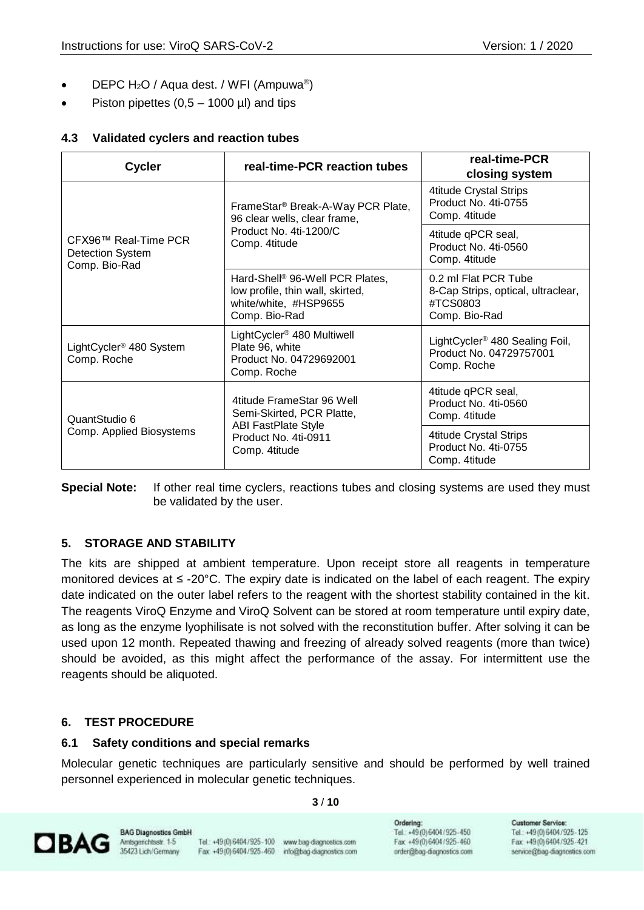- DEPC H<sub>2</sub>O / Aqua dest. / WFI (Ampuwa<sup>®</sup>)
- Piston pipettes  $(0.5 1000 \mu l)$  and tips

#### <span id="page-2-0"></span>**4.3 Validated cyclers and reaction tubes**

| <b>Cycler</b>                                                    | real-time-PCR reaction tubes                                                                                              | real-time-PCR<br>closing system                                                         |
|------------------------------------------------------------------|---------------------------------------------------------------------------------------------------------------------------|-----------------------------------------------------------------------------------------|
| CFX96™ Real-Time PCR<br><b>Detection System</b><br>Comp. Bio-Rad | FrameStar <sup>®</sup> Break-A-Way PCR Plate,<br>96 clear wells, clear frame,                                             | <b>4titude Crystal Strips</b><br>Product No. 4ti-0755<br>Comp. 4titude                  |
|                                                                  | Product No. 4ti-1200/C<br>Comp. 4titude                                                                                   | 4titude qPCR seal,<br>Product No. 4ti-0560<br>Comp. 4titude                             |
|                                                                  | Hard-Shell <sup>®</sup> 96-Well PCR Plates,<br>low profile, thin wall, skirted,<br>white/white, #HSP9655<br>Comp. Bio-Rad | 0.2 ml Flat PCR Tube<br>8-Cap Strips, optical, ultraclear,<br>#TCS0803<br>Comp. Bio-Rad |
| LightCycler <sup>®</sup> 480 System<br>Comp. Roche               | LightCycler <sup>®</sup> 480 Multiwell<br>Plate 96, white<br>Product No. 04729692001<br>Comp. Roche                       | LightCycler <sup>®</sup> 480 Sealing Foil,<br>Product No. 04729757001<br>Comp. Roche    |
| QuantStudio 6<br>Comp. Applied Biosystems                        | 4titude FrameStar 96 Well<br>Semi-Skirted, PCR Platte,                                                                    | 4titude qPCR seal,<br>Product No. 4ti-0560<br>Comp. 4titude                             |
|                                                                  | <b>ABI FastPlate Style</b><br>Product No. 4ti-0911<br>Comp. 4titude                                                       | 4titude Crystal Strips<br>Product No. 4ti-0755<br>Comp. 4titude                         |

**Special Note:** If other real time cyclers, reactions tubes and closing systems are used they must be validated by the user.

## <span id="page-2-1"></span>**5. STORAGE AND STABILITY**

The kits are shipped at ambient temperature. Upon receipt store all reagents in temperature monitored devices at ≤ -20°C. The expiry date is indicated on the label of each reagent. The expiry date indicated on the outer label refers to the reagent with the shortest stability contained in the kit. The reagents ViroQ Enzyme and ViroQ Solvent can be stored at room temperature until expiry date, as long as the enzyme lyophilisate is not solved with the reconstitution buffer. After solving it can be used upon 12 month. Repeated thawing and freezing of already solved reagents (more than twice) should be avoided, as this might affect the performance of the assay. For intermittent use the reagents should be aliquoted.

#### <span id="page-2-2"></span>**6. TEST PROCEDURE**

#### <span id="page-2-3"></span>**6.1 Safety conditions and special remarks**

Molecular genetic techniques are particularly sensitive and should be performed by well trained personnel experienced in molecular genetic techniques.

**3** / **10**



Tel.: +49(0) 6404 / 925 - 100 www.bag-diagnostics.com Fax: +49(0)6404/925-460 info@bag-diagnostics.com Ordering: Tel: +49(0)6404/925-450 Fax: +49 (0) 6404 / 925 - 460 order@bag-diagnostics.com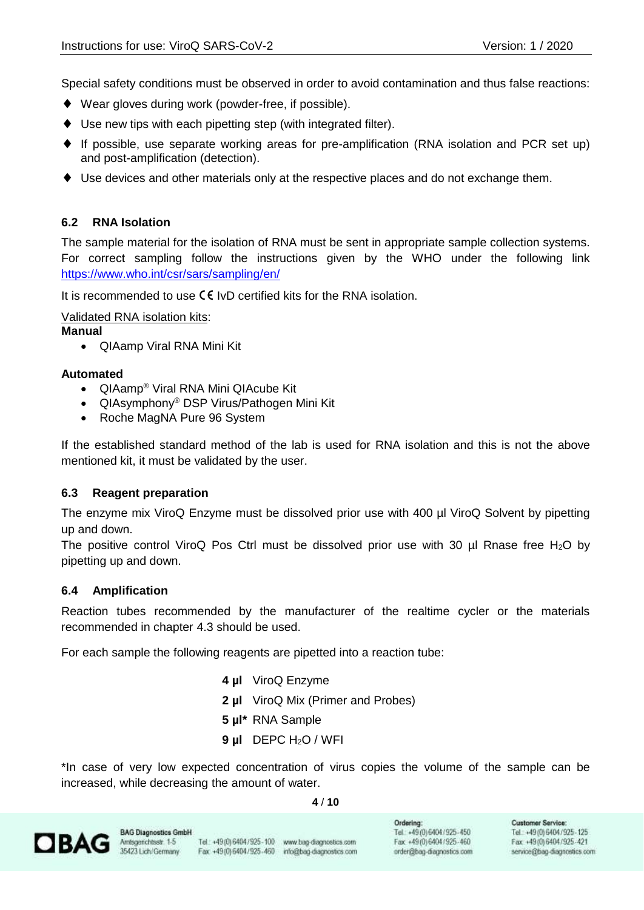Special safety conditions must be observed in order to avoid contamination and thus false reactions:

- ◆ Wear gloves during work (powder-free, if possible).
- Use new tips with each pipetting step (with integrated filter).
- $\blacklozenge$  If possible, use separate working areas for pre-amplification (RNA isolation and PCR set up) and post-amplification (detection).
- Use devices and other materials only at the respective places and do not exchange them.

#### <span id="page-3-0"></span>**6.2 RNA Isolation**

The sample material for the isolation of RNA must be sent in appropriate sample collection systems. For correct sampling follow the instructions given by the WHO under the following link <https://www.who.int/csr/sars/sampling/en/>

It is recommended to use  $\mathsf{CE}$  IvD certified kits for the RNA isolation.

Validated RNA isolation kits:

#### **Manual**

• QIAamp Viral RNA Mini Kit

#### **Automated**

- QIAamp<sup>®</sup> Viral RNA Mini QIAcube Kit
- QIAsymphony® DSP Virus/Pathogen Mini Kit
- Roche MagNA Pure 96 System

If the established standard method of the lab is used for RNA isolation and this is not the above mentioned kit, it must be validated by the user.

#### <span id="page-3-1"></span>**6.3 Reagent preparation**

The enzyme mix ViroQ Enzyme must be dissolved prior use with 400 µl ViroQ Solvent by pipetting up and down.

The positive control ViroQ Pos Ctrl must be dissolved prior use with 30  $\mu$ l Rnase free H<sub>2</sub>O by pipetting up and down.

#### <span id="page-3-2"></span>**6.4 Amplification**

Reaction tubes recommended by the manufacturer of the realtime cycler or the materials recommended in chapter 4.3 should be used.

For each sample the following reagents are pipetted into a reaction tube:

- **4 µl** ViroQ Enzyme
- **2 µl** ViroQ Mix (Primer and Probes)
- **5 µl\*** RNA Sample
- **9 µl** DEPC H2O / WFI

\*In case of very low expected concentration of virus copies the volume of the sample can be increased, while decreasing the amount of water.

**4** / **10**



Tel.: +49 (0) 6404 / 925 - 100 www.bag-diagnostics.com Fax: +49(0)6404/925-460 info@bag-diagnostics.com Ordering: Tel: +49(0)6404/925-450 Fax: +49 (0) 6404 / 925 - 460 order@bag-diagnostics.com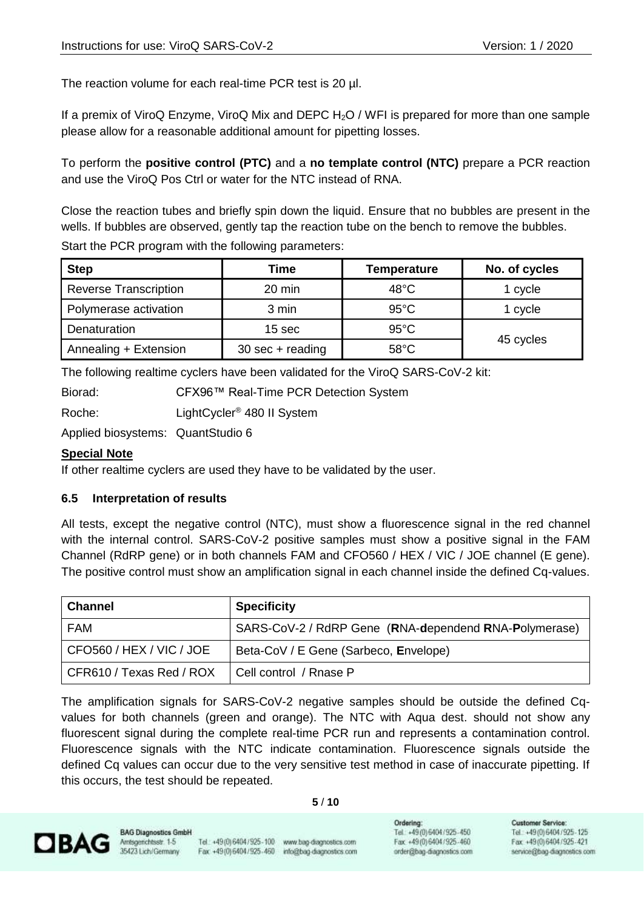The reaction volume for each real-time PCR test is 20  $\mu$ l.

If a premix of ViroQ Enzyme, ViroQ Mix and DEPC H<sub>2</sub>O / WFI is prepared for more than one sample please allow for a reasonable additional amount for pipetting losses.

To perform the **positive control (PTC)** and a **no template control (NTC)** prepare a PCR reaction and use the ViroQ Pos Ctrl or water for the NTC instead of RNA.

Close the reaction tubes and briefly spin down the liquid. Ensure that no bubbles are present in the wells. If bubbles are observed, gently tap the reaction tube on the bench to remove the bubbles.

Start the PCR program with the following parameters:

| <b>Step</b>                  | Time                                | <b>Temperature</b> | No. of cycles |
|------------------------------|-------------------------------------|--------------------|---------------|
| <b>Reverse Transcription</b> | 20 min                              | $48^{\circ}$ C     | 1 cycle       |
| Polymerase activation        | 3 min                               | $95^{\circ}$ C     | 1 cycle       |
| Denaturation                 | $95^{\circ}$ C<br>15 <sub>sec</sub> |                    |               |
| Annealing + Extension        | $30 \text{ sec} + \text{reading}$   | $58^{\circ}$ C     | 45 cycles     |

The following realtime cyclers have been validated for the ViroQ SARS-CoV-2 kit:

Biorad: CFX96™ Real-Time PCR Detection System

Roche: LightCycler<sup>®</sup> 480 II System

Applied biosystems: QuantStudio 6

#### **Special Note**

If other realtime cyclers are used they have to be validated by the user.

#### <span id="page-4-0"></span>**6.5 Interpretation of results**

All tests, except the negative control (NTC), must show a fluorescence signal in the red channel with the internal control. SARS-CoV-2 positive samples must show a positive signal in the FAM Channel (RdRP gene) or in both channels FAM and CFO560 / HEX / VIC / JOE channel (E gene). The positive control must show an amplification signal in each channel inside the defined Cq-values.

| <b>Channel</b>           | <b>Specificity</b>                                    |
|--------------------------|-------------------------------------------------------|
| <b>FAM</b>               | SARS-CoV-2 / RdRP Gene (RNA-dependend RNA-Polymerase) |
| CFO560 / HEX / VIC / JOE | Beta-CoV / E Gene (Sarbeco, Envelope)                 |
| CFR610 / Texas Red / ROX | Cell control / Rnase P                                |

The amplification signals for SARS-CoV-2 negative samples should be outside the defined Cqvalues for both channels (green and orange). The NTC with Aqua dest. should not show any fluorescent signal during the complete real-time PCR run and represents a contamination control. Fluorescence signals with the NTC indicate contamination. Fluorescence signals outside the defined Cq values can occur due to the very sensitive test method in case of inaccurate pipetting. If this occurs, the test should be repeated.

#### **5** / **10**

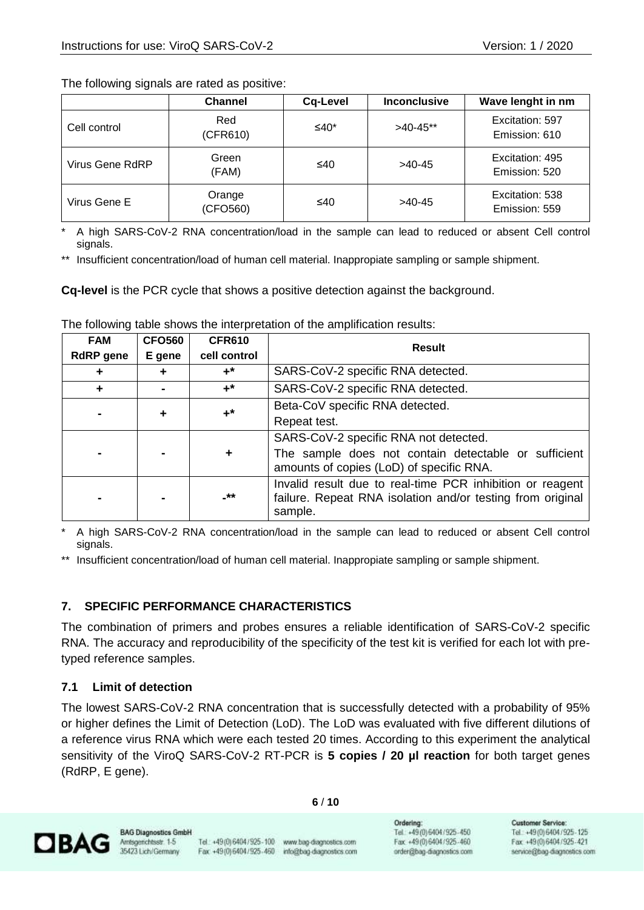The following signals are rated as positive:

|                 | <b>Channel</b>     | Cq-Level | <b>Inconclusive</b> | Wave lenght in nm                |
|-----------------|--------------------|----------|---------------------|----------------------------------|
| Cell control    | Red<br>(CFR610)    | ≤40*     | $>40-45**$          | Excitation: 597<br>Emission: 610 |
| Virus Gene RdRP | Green<br>(FAM)     | ≤40      | $>40-45$            | Excitation: 495<br>Emission: 520 |
| Virus Gene E    | Orange<br>(CFO560) | ≤40      | $>40-45$            | Excitation: 538<br>Emission: 559 |

A high SARS-CoV-2 RNA concentration/load in the sample can lead to reduced or absent Cell control signals.

\*\* Insufficient concentration/load of human cell material. Inappropiate sampling or sample shipment.

**Cq-level** is the PCR cycle that shows a positive detection against the background.

| <b>FAM</b>       | <b>CFO560</b>  | <b>CFR610</b> | <b>Result</b>                                                                                                                      |
|------------------|----------------|---------------|------------------------------------------------------------------------------------------------------------------------------------|
| <b>RdRP</b> gene | E gene         | cell control  |                                                                                                                                    |
| ÷                | +              | $+^*$         | SARS-CoV-2 specific RNA detected.                                                                                                  |
| ÷                | $\blacksquare$ | $+^*$         | SARS-CoV-2 specific RNA detected.                                                                                                  |
|                  |                | $+^*$         | Beta-CoV specific RNA detected.                                                                                                    |
| ٠                |                | Repeat test.  |                                                                                                                                    |
|                  |                |               | SARS-CoV-2 specific RNA not detected.                                                                                              |
|                  |                |               | The sample does not contain detectable or sufficient<br>amounts of copies (LoD) of specific RNA.                                   |
|                  |                | $***$         | Invalid result due to real-time PCR inhibition or reagent<br>failure. Repeat RNA isolation and/or testing from original<br>sample. |

The following table shows the interpretation of the amplification results:

A high SARS-CoV-2 RNA concentration/load in the sample can lead to reduced or absent Cell control signals.

\*\* Insufficient concentration/load of human cell material. Inappropiate sampling or sample shipment.

#### <span id="page-5-0"></span>**7. SPECIFIC PERFORMANCE CHARACTERISTICS**

The combination of primers and probes ensures a reliable identification of SARS-CoV-2 specific RNA. The accuracy and reproducibility of the specificity of the test kit is verified for each lot with pretyped reference samples.

#### <span id="page-5-1"></span>**7.1 Limit of detection**

The lowest SARS-CoV-2 RNA concentration that is successfully detected with a probability of 95% or higher defines the Limit of Detection (LoD). The LoD was evaluated with five different dilutions of a reference virus RNA which were each tested 20 times. According to this experiment the analytical sensitivity of the ViroQ SARS-CoV-2 RT-PCR is **5 copies / 20 µl reaction** for both target genes (RdRP, E gene).

**6** / **10**



Tel.: +49(0) 6404 / 925 - 100 www.bag-diagnostics.com Fax: +49(0)6404/925-460 info@bag-diagnostics.com Ordering: Tel: +49(0)6404/925-450 Fax: +49 (0) 6404 / 925 - 460 order@bag-diagnostics.com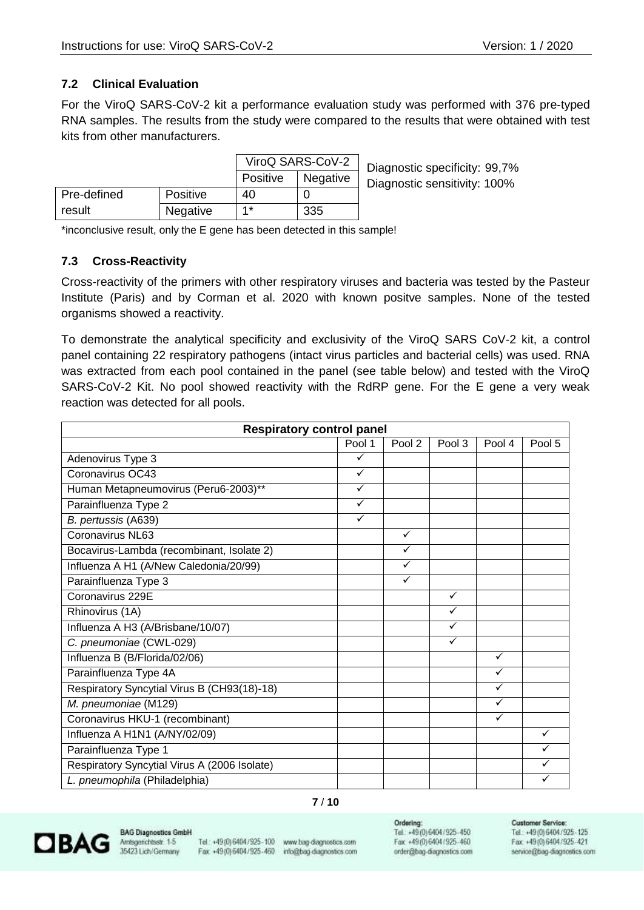#### <span id="page-6-0"></span>**7.2 Clinical Evaluation**

For the ViroQ SARS-CoV-2 kit a performance evaluation study was performed with 376 pre-typed RNA samples. The results from the study were compared to the results that were obtained with test kits from other manufacturers.

|             |                 |          | ViroQ SARS-CoV-2 | Diagnosti |
|-------------|-----------------|----------|------------------|-----------|
|             |                 | Positive | <b>Negative</b>  | Diagnosti |
| Pre-defined | <b>Positive</b> | 40       |                  |           |
| result      | Negative        | $4*$     | 335              |           |

c specificity: 99,7% c sensitivity: 100%

\*inconclusive result, only the E gene has been detected in this sample!

### <span id="page-6-1"></span>**7.3 Cross-Reactivity**

Cross-reactivity of the primers with other respiratory viruses and bacteria was tested by the Pasteur Institute (Paris) and by Corman et al. 2020 with known positve samples. None of the tested organisms showed a reactivity.

To demonstrate the analytical specificity and exclusivity of the ViroQ SARS CoV-2 kit, a control panel containing 22 respiratory pathogens (intact virus particles and bacterial cells) was used. RNA was extracted from each pool contained in the panel (see table below) and tested with the ViroQ SARS-CoV-2 Kit. No pool showed reactivity with the RdRP gene. For the E gene a very weak reaction was detected for all pools.

| <b>Respiratory control panel</b>             |              |              |              |              |              |
|----------------------------------------------|--------------|--------------|--------------|--------------|--------------|
|                                              | Pool 1       | Pool 2       | Pool 3       | Pool 4       | Pool 5       |
| Adenovirus Type 3                            | ✓            |              |              |              |              |
| Coronavirus OC43                             | ✓            |              |              |              |              |
| Human Metapneumovirus (Peru6-2003)**         | ✓            |              |              |              |              |
| Parainfluenza Type 2                         | ✓            |              |              |              |              |
| B. pertussis (A639)                          | $\checkmark$ |              |              |              |              |
| Coronavirus NL63                             |              | $\checkmark$ |              |              |              |
| Bocavirus-Lambda (recombinant, Isolate 2)    |              | ✓            |              |              |              |
| Influenza A H1 (A/New Caledonia/20/99)       |              | ✓            |              |              |              |
| Parainfluenza Type 3                         |              | ✓            |              |              |              |
| Coronavirus 229E                             |              |              | ✓            |              |              |
| Rhinovirus (1A)                              |              |              | ✓            |              |              |
| Influenza A H3 (A/Brisbane/10/07)            |              |              | $\checkmark$ |              |              |
| C. pneumoniae (CWL-029)                      |              |              | ✓            |              |              |
| Influenza B (B/Florida/02/06)                |              |              |              | $\checkmark$ |              |
| Parainfluenza Type 4A                        |              |              |              | ✓            |              |
| Respiratory Syncytial Virus B (CH93(18)-18)  |              |              |              | ✓            |              |
| M. pneumoniae (M129)                         |              |              |              | ✓            |              |
| Coronavirus HKU-1 (recombinant)              |              |              |              | ✓            |              |
| Influenza A H1N1 (A/NY/02/09)                |              |              |              |              | $\checkmark$ |
| Parainfluenza Type 1                         |              |              |              |              |              |
| Respiratory Syncytial Virus A (2006 Isolate) |              |              |              |              | ✓            |
| L. pneumophila (Philadelphia)                |              |              |              |              |              |

#### **7** / **10**



**BAG Diagnostics GmbH** Amsgenchtsstr. 1-5 35423 Lich/Germany

Tel.: +49(0) 6404 / 925 - 100 www.bag-diagnostics.com Fax: +49(0)6404/925-460 info@bag-diagnostics.com

Ordering: Tel: +49(0)6404/925-450 Fax: +49 (0) 6404 / 925 - 460 order@bag-diagnostics.com

#### **Customer Service:**

Tel: +49(0)6404/925-125 Fax: +49(0) 6404/925-421 service@bag-diagnostics.com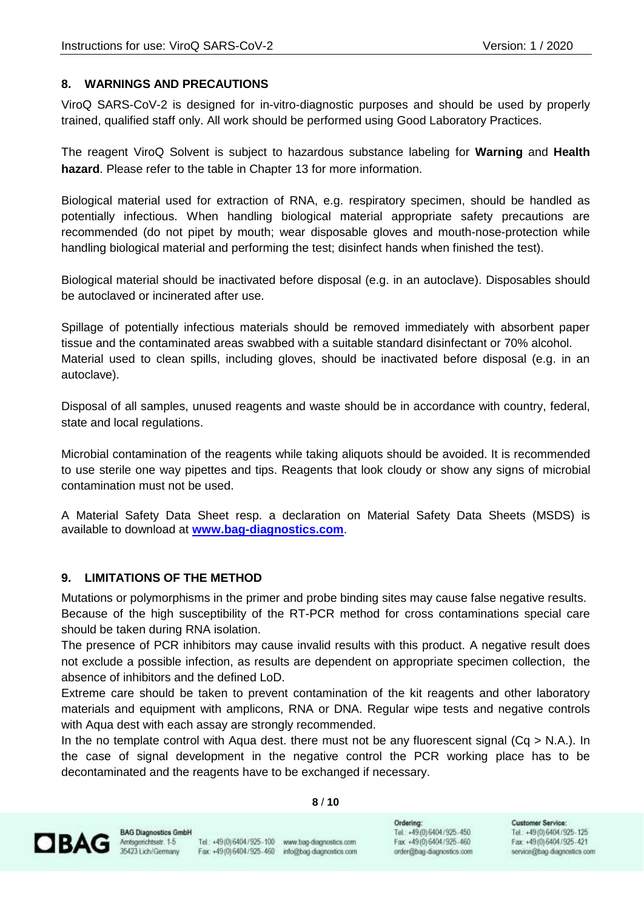#### <span id="page-7-0"></span>**8. WARNINGS AND PRECAUTIONS**

ViroQ SARS-CoV-2 is designed for in-vitro-diagnostic purposes and should be used by properly trained, qualified staff only. All work should be performed using Good Laboratory Practices.

The reagent ViroQ Solvent is subject to hazardous substance labeling for **Warning** and **Health hazard**. Please refer to the table in Chapter 13 for more information.

Biological material used for extraction of RNA, e.g. respiratory specimen, should be handled as potentially infectious. When handling biological material appropriate safety precautions are recommended (do not pipet by mouth; wear disposable gloves and mouth-nose-protection while handling biological material and performing the test; disinfect hands when finished the test).

Biological material should be inactivated before disposal (e.g. in an autoclave). Disposables should be autoclaved or incinerated after use.

Spillage of potentially infectious materials should be removed immediately with absorbent paper tissue and the contaminated areas swabbed with a suitable standard disinfectant or 70% alcohol. Material used to clean spills, including gloves, should be inactivated before disposal (e.g. in an autoclave).

Disposal of all samples, unused reagents and waste should be in accordance with country, federal, state and local regulations.

Microbial contamination of the reagents while taking aliquots should be avoided. It is recommended to use sterile one way pipettes and tips. Reagents that look cloudy or show any signs of microbial contamination must not be used.

A Material Safety Data Sheet resp. a declaration on Material Safety Data Sheets (MSDS) is available to download at **[www.bag-diagnostics.com](http://www.bag-diagnostics.com/)**.

#### <span id="page-7-1"></span>**9. LIMITATIONS OF THE METHOD**

Mutations or polymorphisms in the primer and probe binding sites may cause false negative results. Because of the high susceptibility of the RT-PCR method for cross contaminations special care should be taken during RNA isolation.

The presence of PCR inhibitors may cause invalid results with this product. A negative result does not exclude a possible infection, as results are dependent on appropriate specimen collection, the absence of inhibitors and the defined LoD.

Extreme care should be taken to prevent contamination of the kit reagents and other laboratory materials and equipment with amplicons, RNA or DNA. Regular wipe tests and negative controls with Aqua dest with each assay are strongly recommended.

In the no template control with Aqua dest. there must not be any fluorescent signal  $(Cq > N.A.)$ . In the case of signal development in the negative control the PCR working place has to be decontaminated and the reagents have to be exchanged if necessary.

**8** / **10**

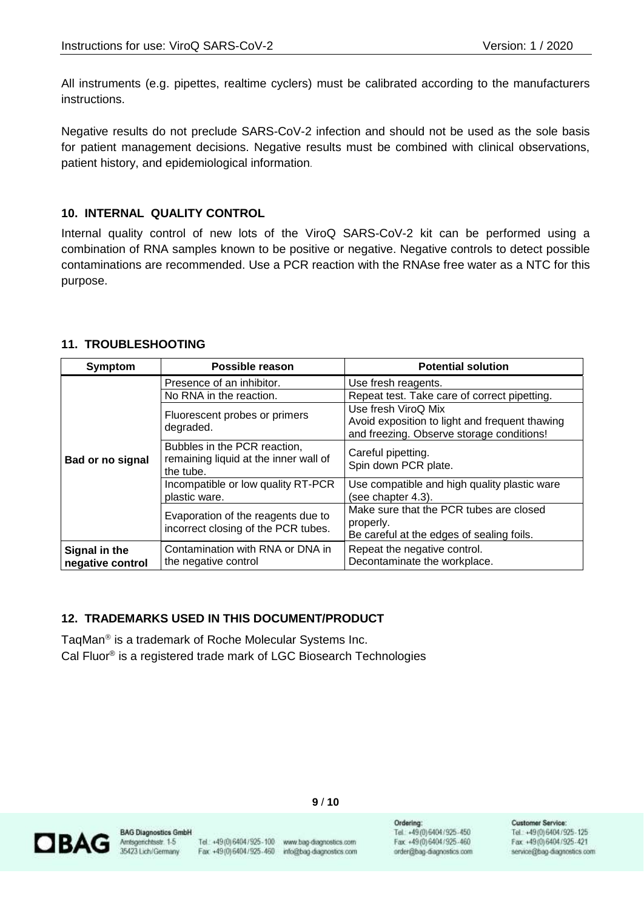All instruments (e.g. pipettes, realtime cyclers) must be calibrated according to the manufacturers instructions.

Negative results do not preclude SARS-CoV-2 infection and should not be used as the sole basis for patient management decisions. Negative results must be combined with clinical observations, patient history, and epidemiological information.

#### <span id="page-8-0"></span>**10. INTERNAL QUALITY CONTROL**

Internal quality control of new lots of the ViroQ SARS-CoV-2 kit can be performed using a combination of RNA samples known to be positive or negative. Negative controls to detect possible contaminations are recommended. Use a PCR reaction with the RNAse free water as a NTC for this purpose.

#### <span id="page-8-1"></span>**11. TROUBLESHOOTING**

| <b>Symptom</b>          | Possible reason                                                                    | <b>Potential solution</b>                                                                                          |  |
|-------------------------|------------------------------------------------------------------------------------|--------------------------------------------------------------------------------------------------------------------|--|
|                         | Presence of an inhibitor.                                                          | Use fresh reagents.                                                                                                |  |
|                         | No RNA in the reaction.                                                            | Repeat test. Take care of correct pipetting.                                                                       |  |
|                         | Fluorescent probes or primers<br>degraded.                                         | Use fresh ViroQ Mix<br>Avoid exposition to light and frequent thawing<br>and freezing. Observe storage conditions! |  |
| <b>Bad or no signal</b> | Bubbles in the PCR reaction,<br>remaining liquid at the inner wall of<br>the tube. | Careful pipetting.<br>Spin down PCR plate.                                                                         |  |
|                         | Incompatible or low quality RT-PCR<br>plastic ware.                                | Use compatible and high quality plastic ware<br>(see chapter 4.3).                                                 |  |
|                         | Evaporation of the reagents due to<br>incorrect closing of the PCR tubes.          | Make sure that the PCR tubes are closed<br>properly.<br>Be careful at the edges of sealing foils.                  |  |
| Signal in the           | Contamination with RNA or DNA in<br>the negative control                           | Repeat the negative control.<br>Decontaminate the workplace.                                                       |  |
| negative control        |                                                                                    |                                                                                                                    |  |

#### <span id="page-8-2"></span>**12. TRADEMARKS USED IN THIS DOCUMENT/PRODUCT**

TaqMan<sup>®</sup> is a trademark of Roche Molecular Systems Inc. Cal Fluor® is a registered trade mark of LGC Biosearch Technologies



**BAG Diagnostics GmbH** Amsgerichtsstr. 1-5<br>35423 Lich/Germany

Tel.: +49(0) 6404 / 925-100 www.bag-diagnostics.com Fax: +49(0)6404/925-460 info@bag-diagnostics.com

**9** / **10**

Ordering: Tel: +49(0)6404/925-450 Fax: +49 (0) 6404 / 925 - 460 order@bag-diagnostics.com **Customer Service:** 

Tel: +49(0)6404/925-125 Fax: +49(0)6404/925-421 service@bag-diagnostics.com